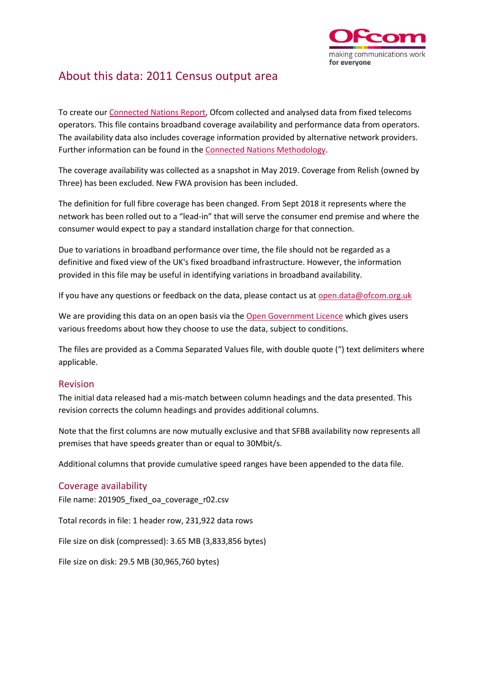

## About this data: 2011 Census output area

To create ou[r Connected Nations Report,](https://www.ofcom.org.uk/research-and-data/multi-sector-research/infrastructure-research/connected-nations-update-summer-2019) Ofcom collected and analysed data from fixed telecoms operators. This file contains broadband coverage availability and performance data from operators. The availability data also includes coverage information provided by alternative network providers. Further information can be found in th[e Connected Nations Methodology.](https://www.ofcom.org.uk/research-and-data/multi-sector-research/infrastructure-research/connected-nations-2018/methodology)

The coverage availability was collected as a snapshot in May 2019. Coverage from Relish (owned by Three) has been excluded. New FWA provision has been included.

The definition for full fibre coverage has been changed. From Sept 2018 it represents where the network has been rolled out to a "lead-in" that will serve the consumer end premise and where the consumer would expect to pay a standard installation charge for that connection.

Due to variations in broadband performance over time, the file should not be regarded as a definitive and fixed view of the UK's fixed broadband infrastructure. However, the information provided in this file may be useful in identifying variations in broadband availability.

If you have any questions or feedback on the data, please contact us a[t open.data@ofcom.org.uk](mailto:open.data@ofcom.org.uk)

We are providing this data on an open basis via the [Open Government Licence](https://www.nationalarchives.gov.uk/doc/open-government-licence/version/3/) which gives users various freedoms about how they choose to use the data, subject to conditions.

The files are provided as a Comma Separated Values file, with double quote (") text delimiters where applicable.

## Revision

The initial data released had a mis-match between column headings and the data presented. This revision corrects the column headings and provides additional columns.

Note that the first columns are now mutually exclusive and that SFBB availability now represents all premises that have speeds greater than or equal to 30Mbit/s.

Additional columns that provide cumulative speed ranges have been appended to the data file.

## Coverage availability

File name: 201905\_fixed\_oa\_coverage\_r02.csv

Total records in file: 1 header row, 231,922 data rows

File size on disk (compressed): 3.65 MB (3,833,856 bytes)

File size on disk: 29.5 MB (30,965,760 bytes)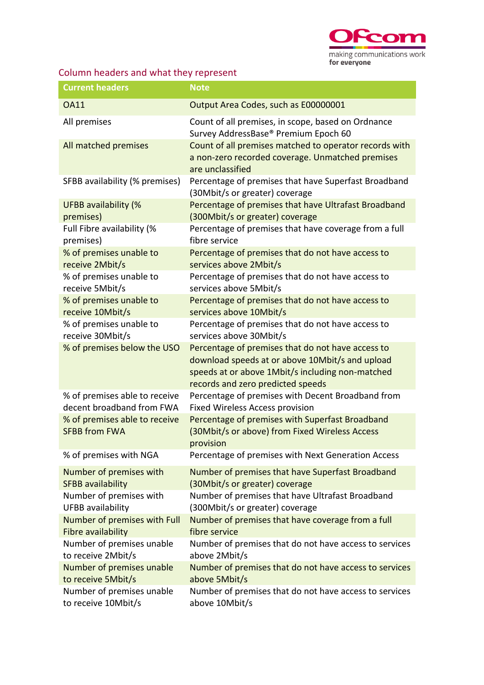

## Column headers and what they represent

| <b>Current headers</b>                                | <b>Note</b>                                                                                                                                                                                   |
|-------------------------------------------------------|-----------------------------------------------------------------------------------------------------------------------------------------------------------------------------------------------|
| <b>OA11</b>                                           | Output Area Codes, such as E00000001                                                                                                                                                          |
| All premises                                          | Count of all premises, in scope, based on Ordnance<br>Survey AddressBase® Premium Epoch 60                                                                                                    |
| All matched premises                                  | Count of all premises matched to operator records with<br>a non-zero recorded coverage. Unmatched premises<br>are unclassified                                                                |
| SFBB availability (% premises)                        | Percentage of premises that have Superfast Broadband<br>(30Mbit/s or greater) coverage                                                                                                        |
| <b>UFBB availability (%</b>                           | Percentage of premises that have Ultrafast Broadband                                                                                                                                          |
| premises)                                             | (300Mbit/s or greater) coverage                                                                                                                                                               |
| Full Fibre availability (%                            | Percentage of premises that have coverage from a full                                                                                                                                         |
| premises)                                             | fibre service                                                                                                                                                                                 |
| % of premises unable to                               | Percentage of premises that do not have access to                                                                                                                                             |
| receive 2Mbit/s                                       | services above 2Mbit/s                                                                                                                                                                        |
| % of premises unable to                               | Percentage of premises that do not have access to                                                                                                                                             |
| receive 5Mbit/s                                       | services above 5Mbit/s                                                                                                                                                                        |
| % of premises unable to                               | Percentage of premises that do not have access to                                                                                                                                             |
| receive 10Mbit/s                                      | services above 10Mbit/s                                                                                                                                                                       |
| % of premises unable to                               | Percentage of premises that do not have access to                                                                                                                                             |
| receive 30Mbit/s                                      | services above 30Mbit/s                                                                                                                                                                       |
| % of premises below the USO                           | Percentage of premises that do not have access to<br>download speeds at or above 10Mbit/s and upload<br>speeds at or above 1Mbit/s including non-matched<br>records and zero predicted speeds |
| % of premises able to receive                         | Percentage of premises with Decent Broadband from                                                                                                                                             |
| decent broadband from FWA                             | <b>Fixed Wireless Access provision</b>                                                                                                                                                        |
| % of premises able to receive<br><b>SFBB from FWA</b> | Percentage of premises with Superfast Broadband<br>(30Mbit/s or above) from Fixed Wireless Access<br>provision                                                                                |
| % of premises with NGA                                | Percentage of premises with Next Generation Access                                                                                                                                            |
| Number of premises with                               | Number of premises that have Superfast Broadband                                                                                                                                              |
| <b>SFBB availability</b>                              | (30Mbit/s or greater) coverage                                                                                                                                                                |
| Number of premises with                               | Number of premises that have Ultrafast Broadband                                                                                                                                              |
| <b>UFBB</b> availability                              | (300Mbit/s or greater) coverage                                                                                                                                                               |
| Number of premises with Full                          | Number of premises that have coverage from a full                                                                                                                                             |
| Fibre availability                                    | fibre service                                                                                                                                                                                 |
| Number of premises unable                             | Number of premises that do not have access to services                                                                                                                                        |
| to receive 2Mbit/s                                    | above 2Mbit/s                                                                                                                                                                                 |
| Number of premises unable                             | Number of premises that do not have access to services                                                                                                                                        |
| to receive 5Mbit/s                                    | above 5Mbit/s                                                                                                                                                                                 |
| Number of premises unable                             | Number of premises that do not have access to services                                                                                                                                        |
| to receive 10Mbit/s                                   | above 10Mbit/s                                                                                                                                                                                |